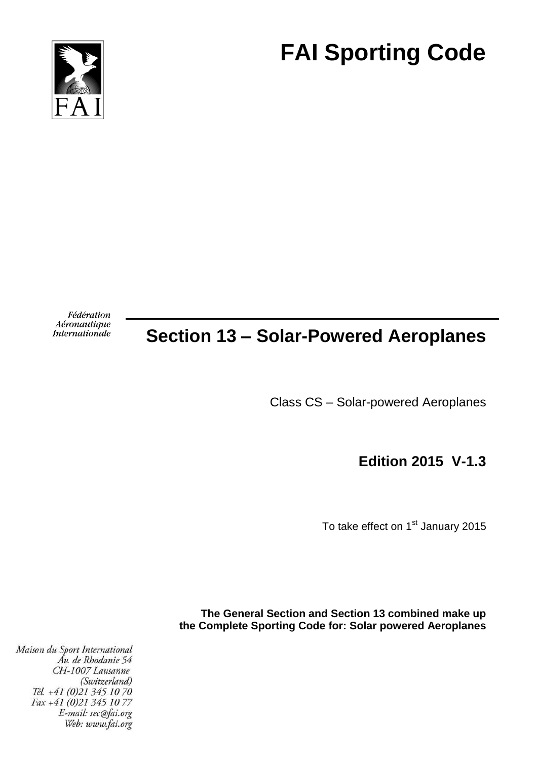

# **FAI Sporting Code**

Fédération Aéronautique **Internationale** 

# **Section 13 – Solar-Powered Aeroplanes**

Class CS – Solar-powered Aeroplanes

**Edition 2015 V-1.3**

To take effect on 1<sup>st</sup> January 2015

**The General Section and Section 13 combined make up the Complete Sporting Code for: Solar powered Aeroplanes**

Maison du Sport International Áv. de Rhodanie 54 CH-1007 Lausanne (Switzerland) Tél. +41 (0)21 345 10 70 Fax +41 (0)21 345 10 77 E-mail: sec@fai.org Web: www.fai.org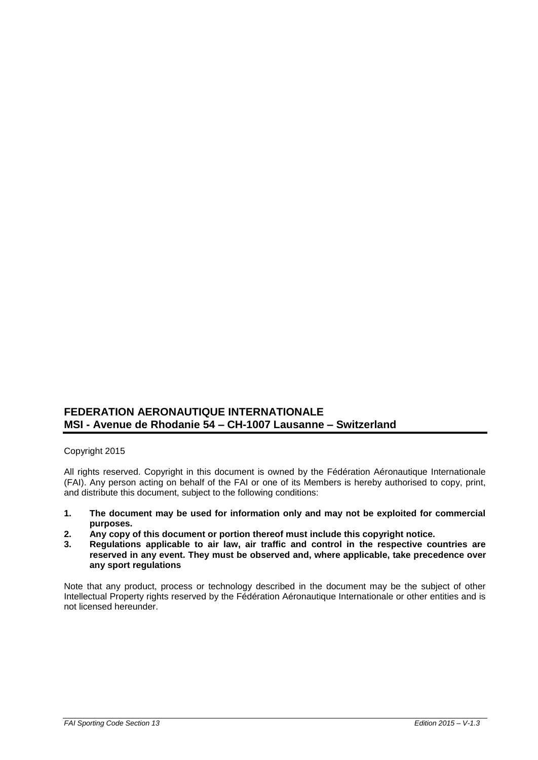# **FEDERATION AERONAUTIQUE INTERNATIONALE MSI - Avenue de Rhodanie 54 – CH-1007 Lausanne – Switzerland**

Copyright 2015

All rights reserved. Copyright in this document is owned by the Fédération Aéronautique Internationale (FAI). Any person acting on behalf of the FAI or one of its Members is hereby authorised to copy, print, and distribute this document, subject to the following conditions:

- **1. The document may be used for information only and may not be exploited for commercial purposes.**
- **2. Any copy of this document or portion thereof must include this copyright notice.**
- **3. Regulations applicable to air law, air traffic and control in the respective countries are reserved in any event. They must be observed and, where applicable, take precedence over any sport regulations**

Note that any product, process or technology described in the document may be the subject of other Intellectual Property rights reserved by the Fédération Aéronautique Internationale or other entities and is not licensed hereunder.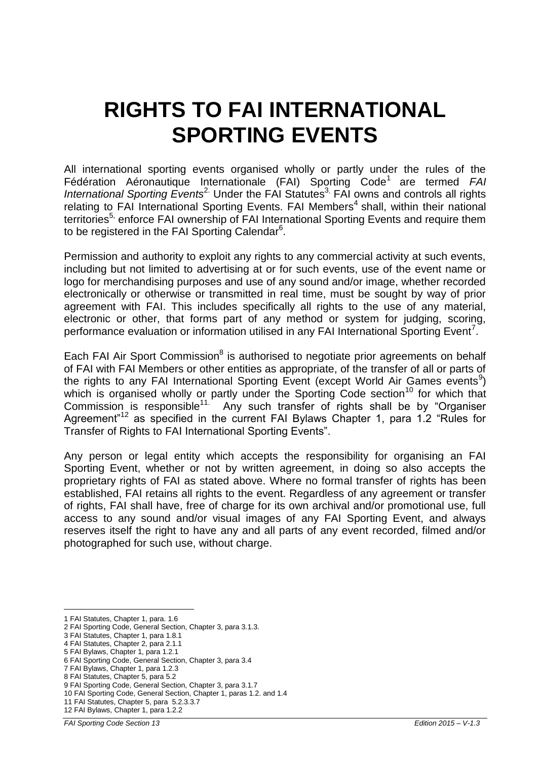# **RIGHTS TO FAI INTERNATIONAL SPORTING EVENTS**

All international sporting events organised wholly or partly under the rules of the Fédération Aéronautique Internationale (FAI) Sporting Code<sup>1</sup> are termed FAI *International Sporting Events*<sup>2</sup> Under the FAI Statutes<sup>3</sup> FAI owns and controls all rights relating to FAI International Sporting Events. FAI Members<sup>4</sup> shall, within their national territories<sup>5,</sup> enforce FAI ownership of FAI International Sporting Events and require them to be registered in the FAI Sporting Calendar<sup>6</sup>.

Permission and authority to exploit any rights to any commercial activity at such events, including but not limited to advertising at or for such events, use of the event name or logo for merchandising purposes and use of any sound and/or image, whether recorded electronically or otherwise or transmitted in real time, must be sought by way of prior agreement with FAI. This includes specifically all rights to the use of any material, electronic or other, that forms part of any method or system for judging, scoring, performance evaluation or information utilised in any FAI International Sporting Event<sup>7</sup>.

Each FAI Air Sport Commission<sup>8</sup> is authorised to negotiate prior agreements on behalf of FAI with FAI Members or other entities as appropriate, of the transfer of all or parts of the rights to any FAI International Sporting Event (except World Air Games events<sup>9</sup>) which is organised wholly or partly under the Sporting Code section<sup>10</sup> for which that Commission is responsible<sup>11.</sup> Any such transfer of rights shall be by "Organiser Agreement<sup>"12</sup> as specified in the current FAI Bylaws Chapter 1, para 1.2 "Rules for Transfer of Rights to FAI International Sporting Events".

Any person or legal entity which accepts the responsibility for organising an FAI Sporting Event, whether or not by written agreement, in doing so also accepts the proprietary rights of FAI as stated above. Where no formal transfer of rights has been established, FAI retains all rights to the event. Regardless of any agreement or transfer of rights, FAI shall have, free of charge for its own archival and/or promotional use, full access to any sound and/or visual images of any FAI Sporting Event, and always reserves itself the right to have any and all parts of any event recorded, filmed and/or photographed for such use, without charge.

<u>.</u>

<sup>1</sup> FAI Statutes, Chapter 1, para. 1.6

<sup>2</sup> FAI Sporting Code, General Section, Chapter 3, para 3.1.3.

<sup>3</sup> FAI Statutes, Chapter 1, para 1.8.1

<sup>4</sup> FAI Statutes, Chapter 2, para 2.1.1

<sup>5</sup> FAI Bylaws, Chapter 1, para 1.2.1

<sup>6</sup> FAI Sporting Code, General Section, Chapter 3, para 3.4

<sup>7</sup> FAI Bylaws, Chapter 1, para 1.2.3

<sup>8</sup> FAI Statutes, Chapter 5, para 5.2

<sup>9</sup> FAI Sporting Code, General Section, Chapter 3, para 3.1.7

<sup>10</sup> FAI Sporting Code, General Section, Chapter 1, paras 1.2. and 1.4

<sup>11</sup> FAI Statutes, Chapter 5, para 5.2.3.3.7

<sup>12</sup> FAI Bylaws, Chapter 1, para 1.2.2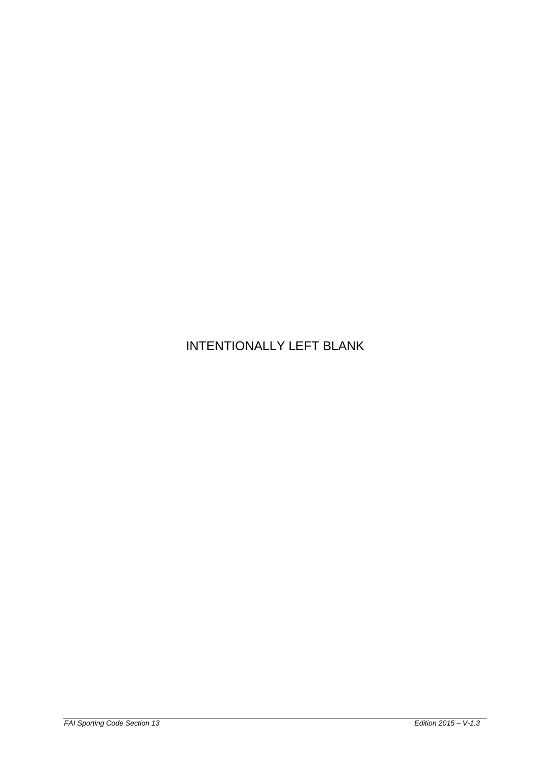# INTENTIONALLY LEFT BLANK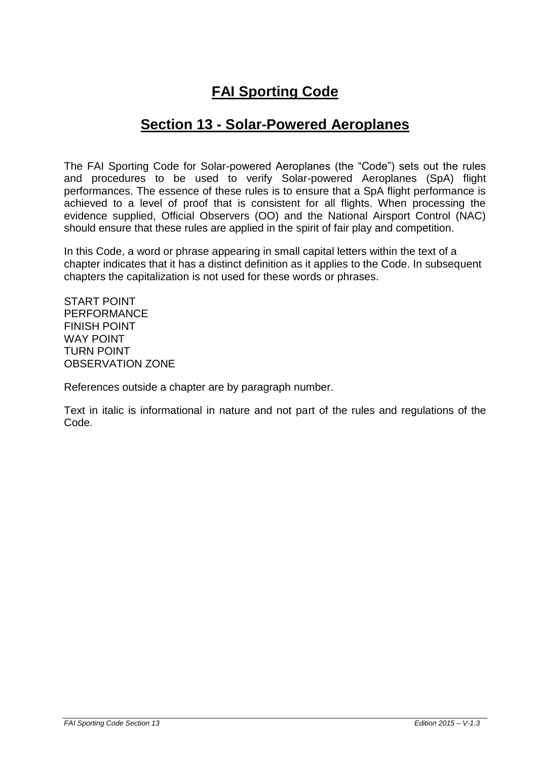# **FAI Sporting Code**

# **Section 13 - Solar-Powered Aeroplanes**

The FAI Sporting Code for Solar-powered Aeroplanes (the "Code") sets out the rules and procedures to be used to verify Solar-powered Aeroplanes (SpA) flight performances. The essence of these rules is to ensure that a SpA flight performance is achieved to a level of proof that is consistent for all flights. When processing the evidence supplied, Official Observers (OO) and the National Airsport Control (NAC) should ensure that these rules are applied in the spirit of fair play and competition.

In this Code, a word or phrase appearing in small capital letters within the text of a chapter indicates that it has a distinct definition as it applies to the Code. In subsequent chapters the capitalization is not used for these words or phrases.

START POINT **PERFORMANCE** FINISH POINT WAY POINT TURN POINT OBSERVATION ZONE

References outside a chapter are by paragraph number.

Text in italic is informational in nature and not part of the rules and regulations of the Code.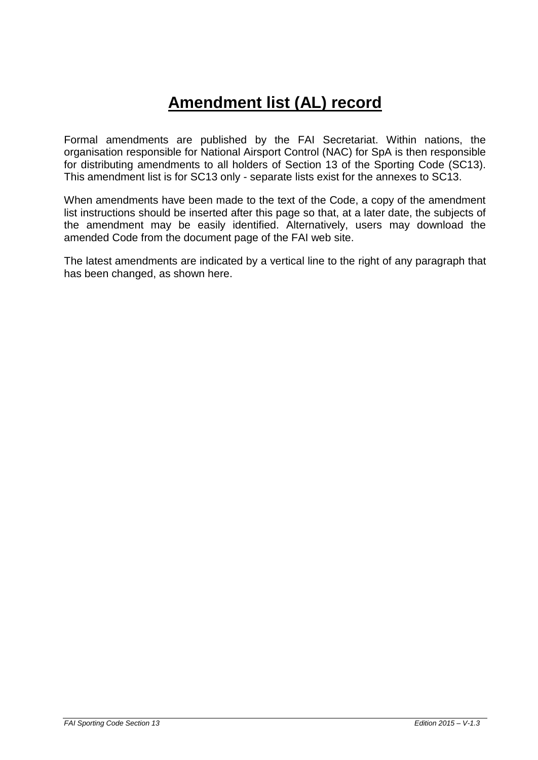# **Amendment list (AL) record**

Formal amendments are published by the FAI Secretariat. Within nations, the organisation responsible for National Airsport Control (NAC) for SpA is then responsible for distributing amendments to all holders of Section 13 of the Sporting Code (SC13). This amendment list is for SC13 only - separate lists exist for the annexes to SC13.

When amendments have been made to the text of the Code, a copy of the amendment list instructions should be inserted after this page so that, at a later date, the subjects of the amendment may be easily identified. Alternatively, users may download the amended Code from the document page of the FAI web site.

The latest amendments are indicated by a vertical line to the right of any paragraph that has been changed, as shown here.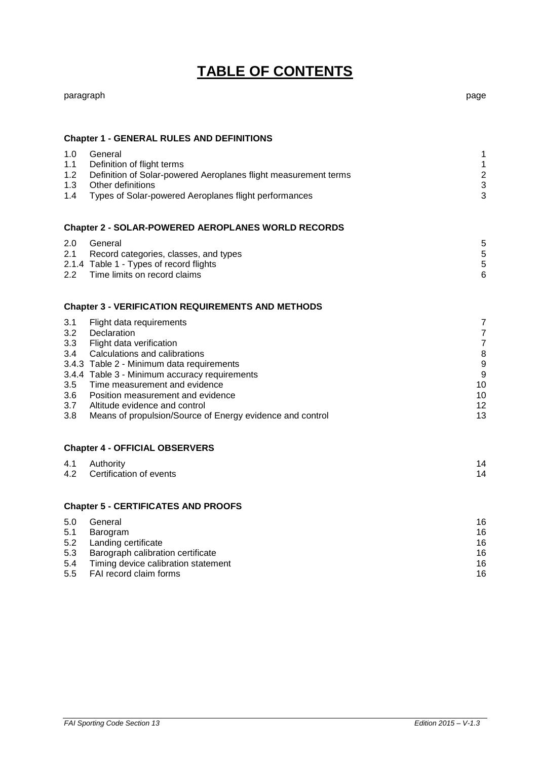# **TABLE OF CONTENTS**

| paragraph                                                    |                                                                                                                                                                                                                                                                                                                                                                        | page                                                                         |
|--------------------------------------------------------------|------------------------------------------------------------------------------------------------------------------------------------------------------------------------------------------------------------------------------------------------------------------------------------------------------------------------------------------------------------------------|------------------------------------------------------------------------------|
|                                                              | <b>Chapter 1 - GENERAL RULES AND DEFINITIONS</b>                                                                                                                                                                                                                                                                                                                       |                                                                              |
| 1.0<br>1.1<br>1.2<br>1.3<br>1.4                              | General<br>Definition of flight terms<br>Definition of Solar-powered Aeroplanes flight measurement terms<br>Other definitions<br>Types of Solar-powered Aeroplanes flight performances                                                                                                                                                                                 | 1<br>$\mathbf{1}$<br>$\mathbf 2$<br>$\sqrt{3}$<br>3                          |
|                                                              | <b>Chapter 2 - SOLAR-POWERED AEROPLANES WORLD RECORDS</b>                                                                                                                                                                                                                                                                                                              |                                                                              |
| 2.0<br>2.1<br>$2.2\,$                                        | General<br>Record categories, classes, and types<br>2.1.4 Table 1 - Types of record flights<br>Time limits on record claims                                                                                                                                                                                                                                            | 5<br>$\sqrt{5}$<br>$\sqrt{5}$<br>$6\phantom{1}6$                             |
|                                                              | <b>Chapter 3 - VERIFICATION REQUIREMENTS AND METHODS</b>                                                                                                                                                                                                                                                                                                               |                                                                              |
| 3.1<br>3.2<br>3.3<br>3.4<br>$3.5\,$<br>$3.6\,$<br>3.7<br>3.8 | Flight data requirements<br>Declaration<br>Flight data verification<br>Calculations and calibrations<br>3.4.3 Table 2 - Minimum data requirements<br>3.4.4 Table 3 - Minimum accuracy requirements<br>Time measurement and evidence<br>Position measurement and evidence<br>Altitude evidence and control<br>Means of propulsion/Source of Energy evidence and control | 7<br>$\overline{7}$<br>$\overline{7}$<br>8<br>9<br>9<br>10<br>10<br>12<br>13 |
|                                                              | <b>Chapter 4 - OFFICIAL OBSERVERS</b>                                                                                                                                                                                                                                                                                                                                  |                                                                              |
| 4.1<br>4.2                                                   | Authority<br>Certification of events                                                                                                                                                                                                                                                                                                                                   | 14<br>14                                                                     |
|                                                              | <b>Chapter 5 - CERTIFICATES AND PROOFS</b>                                                                                                                                                                                                                                                                                                                             |                                                                              |

| 5.0 | General                             | 16 |
|-----|-------------------------------------|----|
| 5.1 | Barogram                            | 16 |
|     | 5.2 Landing certificate             | 16 |
| 5.3 | Barograph calibration certificate   | 16 |
| 5.4 | Timing device calibration statement | 16 |
|     | 5.5 FAI record claim forms          | 16 |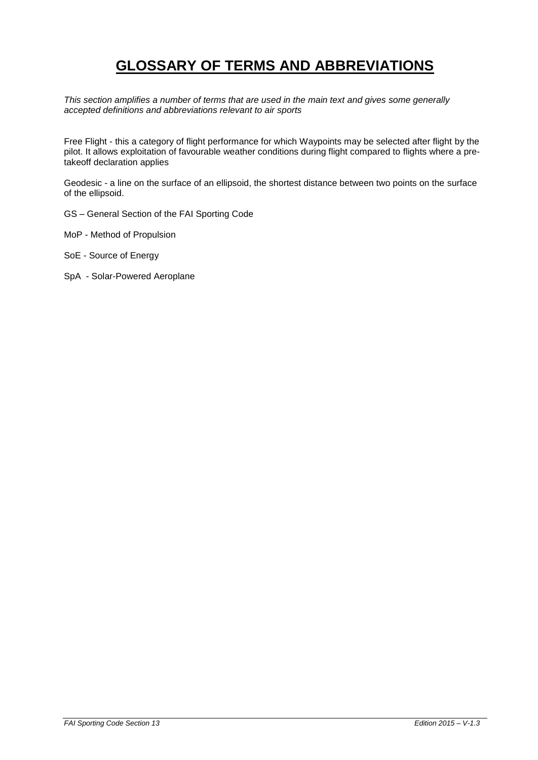# **GLOSSARY OF TERMS AND ABBREVIATIONS**

*This section amplifies a number of terms that are used in the main text and gives some generally accepted definitions and abbreviations relevant to air sports*

Free Flight - this a category of flight performance for which Waypoints may be selected after flight by the pilot. It allows exploitation of favourable weather conditions during flight compared to flights where a pretakeoff declaration applies

Geodesic - a line on the surface of an ellipsoid, the shortest distance between two points on the surface of the ellipsoid.

GS – General Section of the FAI Sporting Code

MoP - Method of Propulsion

SoE - Source of Energy

SpA - Solar-Powered Aeroplane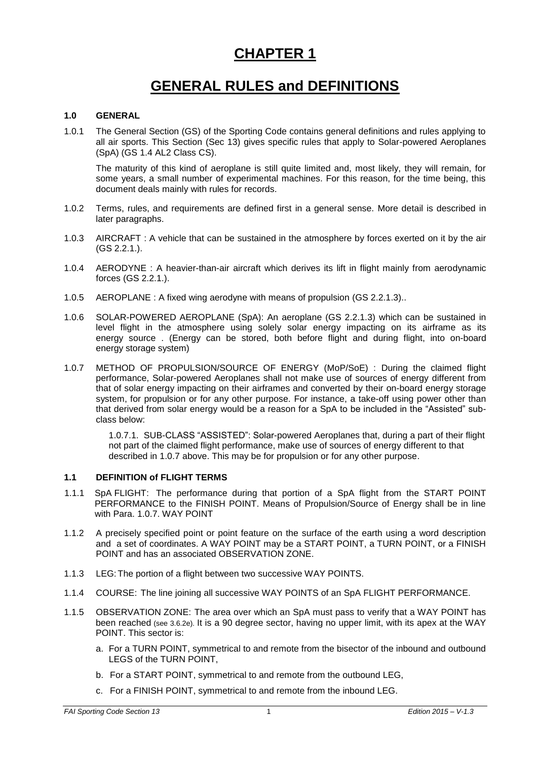# **GENERAL RULES and DEFINITIONS**

# **1.0 GENERAL**

1.0.1 The General Section (GS) of the Sporting Code contains general definitions and rules applying to all air sports. This Section (Sec 13) gives specific rules that apply to Solar-powered Aeroplanes (SpA) (GS 1.4 AL2 Class CS).

The maturity of this kind of aeroplane is still quite limited and, most likely, they will remain, for some years, a small number of experimental machines. For this reason, for the time being, this document deals mainly with rules for records.

- 1.0.2 Terms, rules, and requirements are defined first in a general sense. More detail is described in later paragraphs.
- 1.0.3 AIRCRAFT : A vehicle that can be sustained in the atmosphere by forces exerted on it by the air (GS 2.2.1.).
- 1.0.4 AERODYNE : A heavier-than-air aircraft which derives its lift in flight mainly from aerodynamic forces (GS 2.2.1.).
- 1.0.5 AEROPLANE : A fixed wing aerodyne with means of propulsion (GS 2.2.1.3)..
- 1.0.6 SOLAR-POWERED AEROPLANE (SpA): An aeroplane (GS 2.2.1.3) which can be sustained in level flight in the atmosphere using solely solar energy impacting on its airframe as its energy source . (Energy can be stored, both before flight and during flight, into on-board energy storage system)
- 1.0.7 METHOD OF PROPULSION/SOURCE OF ENERGY (MoP/SoE) : During the claimed flight performance, Solar-powered Aeroplanes shall not make use of sources of energy different from that of solar energy impacting on their airframes and converted by their on-board energy storage system, for propulsion or for any other purpose. For instance, a take-off using power other than that derived from solar energy would be a reason for a SpA to be included in the "Assisted" subclass below:

1.0.7.1. SUB-CLASS "ASSISTED": Solar-powered Aeroplanes that, during a part of their flight not part of the claimed flight performance, make use of sources of energy different to that described in 1.0.7 above. This may be for propulsion or for any other purpose.

# **1.1 DEFINITION of FLIGHT TERMS**

- 1.1.1 SpA FLIGHT: The performance during that portion of a SpA flight from the START POINT PERFORMANCE to the FINISH POINT. Means of Propulsion/Source of Energy shall be in line with Para. 1.0.7. WAY POINT
- 1.1.2 A precisely specified point or point feature on the surface of the earth using a word description and a set of coordinates. A WAY POINT may be a START POINT, a TURN POINT, or a FINISH POINT and has an associated OBSERVATION ZONE.
- 1.1.3 LEG:The portion of a flight between two successive WAY POINTS.
- 1.1.4 COURSE: The line joining all successive WAY POINTS of an SpA FLIGHT PERFORMANCE.
- 1.1.5 OBSERVATION ZONE: The area over which an SpA must pass to verify that a WAY POINT has been reached (see 3.6.2e). It is a 90 degree sector, having no upper limit, with its apex at the WAY POINT. This sector is:
	- a. For a TURN POINT, symmetrical to and remote from the bisector of the inbound and outbound LEGS of the TURN POINT,
	- b. For a START POINT, symmetrical to and remote from the outbound LEG,
	- c. For a FINISH POINT, symmetrical to and remote from the inbound LEG.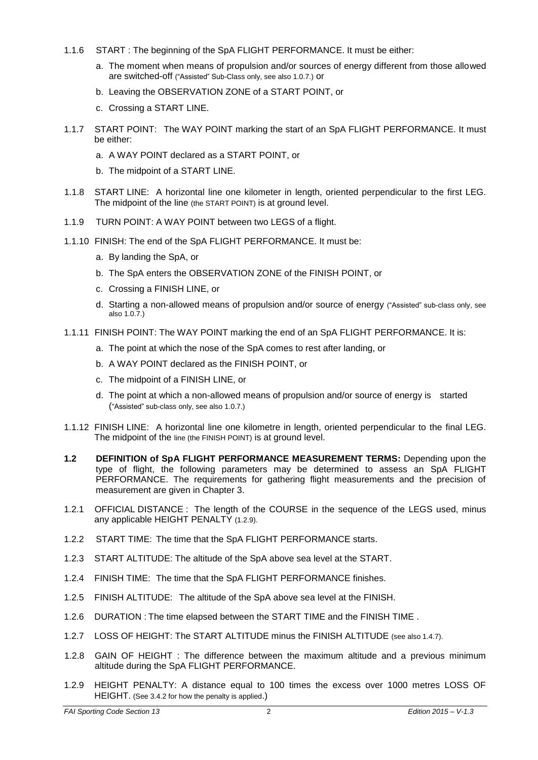- 1.1.6 START : The beginning of the SpA FLIGHT PERFORMANCE. It must be either:
	- a. The moment when means of propulsion and/or sources of energy different from those allowed are switched-off ("Assisted" Sub-Class only, see also 1.0.7.) or
	- b. Leaving the OBSERVATION ZONE of a START POINT, or
	- c. Crossing a START LINE.
- 1.1.7 START POINT: The WAY POINT marking the start of an SpA FLIGHT PERFORMANCE. It must be either:
	- a. A WAY POINT declared as a START POINT, or
	- b. The midpoint of a START LINE.
- 1.1.8 START LINE: A horizontal line one kilometer in length, oriented perpendicular to the first LEG. The midpoint of the line (the START POINT) is at ground level.
- 1.1.9 TURN POINT: A WAY POINT between two LEGS of a flight.
- 1.1.10 FINISH: The end of the SpA FLIGHT PERFORMANCE. It must be:
	- a. By landing the SpA, or
	- b. The SpA enters the OBSERVATION ZONE of the FINISH POINT, or
	- c. Crossing a FINISH LINE, or
	- d. Starting a non-allowed means of propulsion and/or source of energy ("Assisted" sub-class only, see also 1.0.7.)
- 1.1.11 FINISH POINT: The WAY POINT marking the end of an SpA FLIGHT PERFORMANCE. It is:
	- a. The point at which the nose of the SpA comes to rest after landing, or
	- b. A WAY POINT declared as the FINISH POINT, or
	- c. The midpoint of a FINISH LINE, or
	- d. The point at which a non-allowed means of propulsion and/or source of energy is started ("Assisted" sub-class only, see also 1.0.7.)
- 1.1.12 FINISH LINE: A horizontal line one kilometre in length, oriented perpendicular to the final LEG. The midpoint of the line (the FINISH POINT) is at ground level.
- **1.2 DEFINITION of SpA FLIGHT PERFORMANCE MEASUREMENT TERMS:** Depending upon the type of flight, the following parameters may be determined to assess an SpA FLIGHT PERFORMANCE. The requirements for gathering flight measurements and the precision of measurement are given in Chapter 3.
- 1.2.1 OFFICIAL DISTANCE : The length of the COURSE in the sequence of the LEGS used, minus any applicable HEIGHT PENALTY (1.2.9).
- 1.2.2 START TIME: The time that the SpA FLIGHT PERFORMANCE starts.
- 1.2.3 START ALTITUDE: The altitude of the SpA above sea level at the START.
- 1.2.4 FINISH TIME: The time that the SpA FLIGHT PERFORMANCE finishes.
- 1.2.5 FINISH ALTITUDE: The altitude of the SpA above sea level at the FINISH.
- 1.2.6 DURATION : The time elapsed between the START TIME and the FINISH TIME .
- 1.2.7 LOSS OF HEIGHT: The START ALTITUDE minus the FINISH ALTITUDE (see also 1.4.7).
- 1.2.8 GAIN OF HEIGHT : The difference between the maximum altitude and a previous minimum altitude during the SpA FLIGHT PERFORMANCE.
- 1.2.9 HEIGHT PENALTY: A distance equal to 100 times the excess over 1000 metres LOSS OF HEIGHT. (See 3.4.2 for how the penalty is applied.)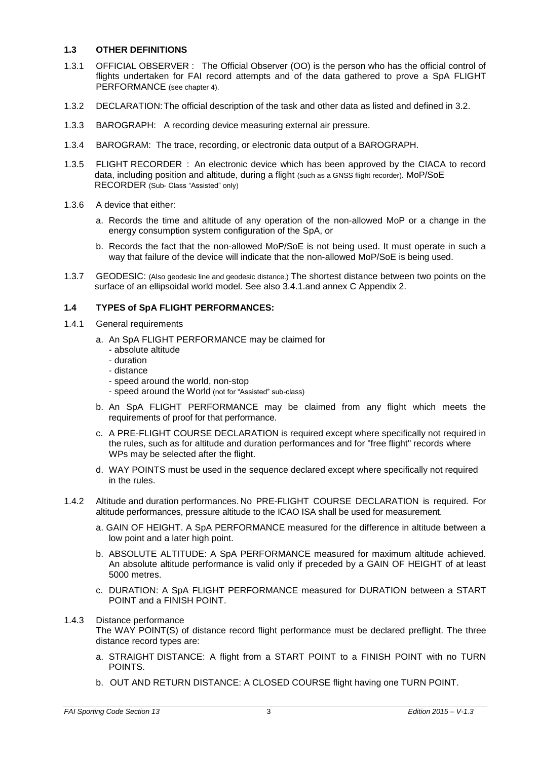# **1.3 OTHER DEFINITIONS**

- 1.3.1 OFFICIAL OBSERVER : The Official Observer (OO) is the person who has the official control of flights undertaken for FAI record attempts and of the data gathered to prove a SpA FLIGHT PERFORMANCE (see chapter 4).
- 1.3.2 DECLARATION:The official description of the task and other data as listed and defined in 3.2.
- 1.3.3 BAROGRAPH: A recording device measuring external air pressure.
- 1.3.4 BAROGRAM: The trace, recording, or electronic data output of a BAROGRAPH.
- 1.3.5 FLIGHT RECORDER : An electronic device which has been approved by the CIACA to record data, including position and altitude, during a flight (such as a GNSS flight recorder). MoP/SoE RECORDER (Sub- Class "Assisted" only)
- 1.3.6 A device that either:
	- a. Records the time and altitude of any operation of the non-allowed MoP or a change in the energy consumption system configuration of the SpA, or
	- b. Records the fact that the non-allowed MoP/SoE is not being used. It must operate in such a way that failure of the device will indicate that the non-allowed MoP/SoE is being used.
- 1.3.7 GEODESIC: (Also geodesic line and geodesic distance.) The shortest distance between two points on the surface of an ellipsoidal world model. See also 3.4.1.and annex C Appendix 2.

# **1.4 TYPES of SpA FLIGHT PERFORMANCES:**

- 1.4.1 General requirements
	- a. An SpA FLIGHT PERFORMANCE may be claimed for
		- absolute altitude
		- duration
		- distance
		- speed around the world, non-stop
		- speed around the World (not for "Assisted" sub-class)
	- b. An SpA FLIGHT PERFORMANCE may be claimed from any flight which meets the requirements of proof for that performance.
	- c. A PRE-FLIGHT COURSE DECLARATION is required except where specifically not required in the rules, such as for altitude and duration performances and for "free flight" records where WPs may be selected after the flight.
	- d. WAY POINTS must be used in the sequence declared except where specifically not required in the rules.
- 1.4.2 Altitude and duration performances. No PRE-FLIGHT COURSE DECLARATION is required. For altitude performances, pressure altitude to the ICAO ISA shall be used for measurement.
	- a. GAIN OF HEIGHT. A SpA PERFORMANCE measured for the difference in altitude between a low point and a later high point.
	- b. ABSOLUTE ALTITUDE: A SpA PERFORMANCE measured for maximum altitude achieved. An absolute altitude performance is valid only if preceded by a GAIN OF HEIGHT of at least 5000 metres.
	- c. DURATION: A SpA FLIGHT PERFORMANCE measured for DURATION between a START POINT and a FINISH POINT.

# 1.4.3 Distance performance

The WAY POINT(S) of distance record flight performance must be declared preflight. The three distance record types are:

- a. STRAIGHT DISTANCE: A flight from a START POINT to a FINISH POINT with no TURN POINTS.
- b. OUT AND RETURN DISTANCE: A CLOSED COURSE flight having one TURN POINT.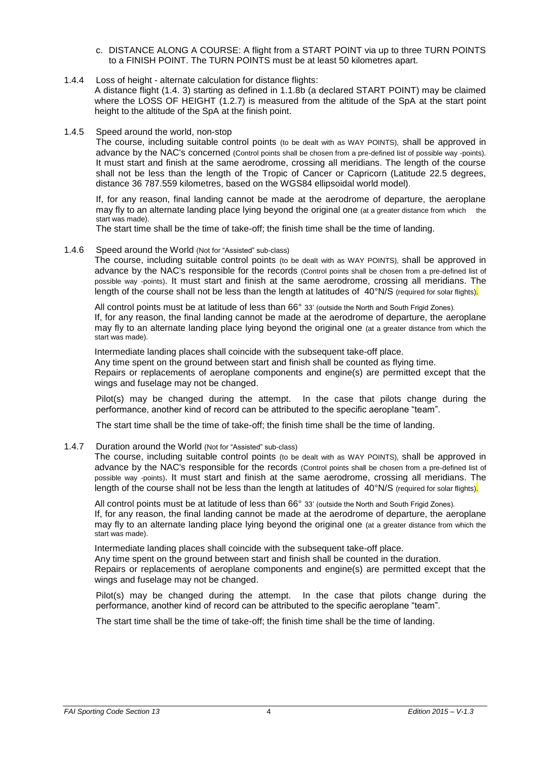- c. DISTANCE ALONG A COURSE: A flight from a START POINT via up to three TURN POINTS to a FINISH POINT. The TURN POINTS must be at least 50 kilometres apart.
- 1.4.4 Loss of height alternate calculation for distance flights: A distance flight (1.4. 3) starting as defined in 1.1.8b (a declared START POINT) may be claimed where the LOSS OF HEIGHT (1.2.7) is measured from the altitude of the SpA at the start point height to the altitude of the SpA at the finish point.
- 1.4.5 Speed around the world, non-stop

The course, including suitable control points (to be dealt with as WAY POINTS), shall be approved in advance by the NAC's concerned (Control points shall be chosen from a pre-defined list of possible way -points). It must start and finish at the same aerodrome, crossing all meridians. The length of the course shall not be less than the length of the Tropic of Cancer or Capricorn (Latitude 22.5 degrees, distance 36 787.559 kilometres, based on the WGS84 ellipsoidal world model).

If, for any reason, final landing cannot be made at the aerodrome of departure, the aeroplane may fly to an alternate landing place lying beyond the original one (at a greater distance from which the start was made).

The start time shall be the time of take-off; the finish time shall be the time of landing.

1.4.6 Speed around the World (Not for "Assisted" sub-class)

The course, including suitable control points (to be dealt with as WAY POINTS), shall be approved in advance by the NAC's responsible for the records (Control points shall be chosen from a pre-defined list of possible way -points). It must start and finish at the same aerodrome, crossing all meridians. The length of the course shall not be less than the length at latitudes of 40°N/S (required for solar flights).

All control points must be at latitude of less than 66° 33' (outside the North and South Frigid Zones). If, for any reason, the final landing cannot be made at the aerodrome of departure, the aeroplane may fly to an alternate landing place lying beyond the original one (at a greater distance from which the start was made).

Intermediate landing places shall coincide with the subsequent take-off place.

Any time spent on the ground between start and finish shall be counted as flying time. Repairs or replacements of aeroplane components and engine(s) are permitted except that the wings and fuselage may not be changed.

Pilot(s) may be changed during the attempt. In the case that pilots change during the performance, another kind of record can be attributed to the specific aeroplane "team".

The start time shall be the time of take-off; the finish time shall be the time of landing.

1.4.7 Duration around the World (Not for "Assisted" sub-class)

The course, including suitable control points (to be dealt with as WAY POINTS), shall be approved in advance by the NAC's responsible for the records (Control points shall be chosen from a pre-defined list of possible way -points). It must start and finish at the same aerodrome, crossing all meridians. The length of the course shall not be less than the length at latitudes of 40°N/S (required for solar flights).

All control points must be at latitude of less than 66° 33' (outside the North and South Frigid Zones). If, for any reason, the final landing cannot be made at the aerodrome of departure, the aeroplane may fly to an alternate landing place lying beyond the original one (at a greater distance from which the start was made).

Intermediate landing places shall coincide with the subsequent take-off place.

Any time spent on the ground between start and finish shall be counted in the duration.

Repairs or replacements of aeroplane components and engine(s) are permitted except that the wings and fuselage may not be changed.

Pilot(s) may be changed during the attempt. In the case that pilots change during the performance, another kind of record can be attributed to the specific aeroplane "team".

The start time shall be the time of take-off; the finish time shall be the time of landing.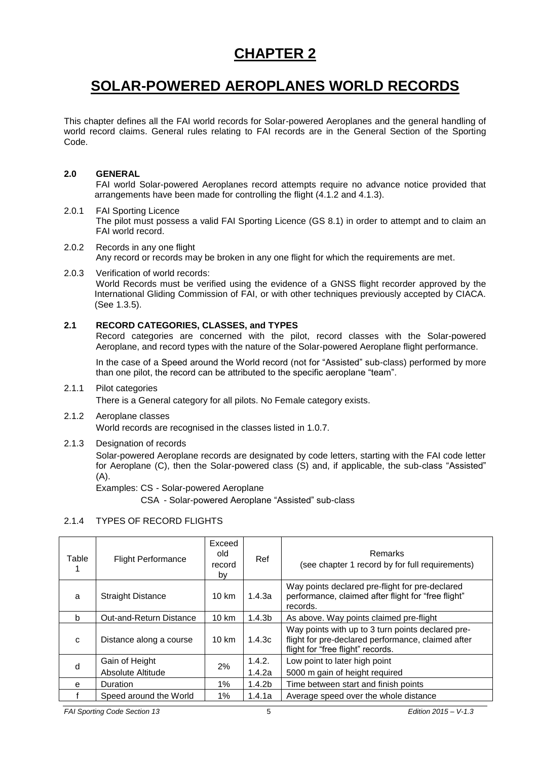# **SOLAR-POWERED AEROPLANES WORLD RECORDS**

This chapter defines all the FAI world records for Solar-powered Aeroplanes and the general handling of world record claims. General rules relating to FAI records are in the General Section of the Sporting Code.

# **2.0 GENERAL**

FAI world Solar-powered Aeroplanes record attempts require no advance notice provided that arrangements have been made for controlling the flight (4.1.2 and 4.1.3).

- 2.0.1 FAI Sporting Licence The pilot must possess a valid FAI Sporting Licence (GS 8.1) in order to attempt and to claim an FAI world record.
- 2.0.2 Records in any one flight Any record or records may be broken in any one flight for which the requirements are met.
- 2.0.3 Verification of world records: World Records must be verified using the evidence of a GNSS flight recorder approved by the International Gliding Commission of FAI, or with other techniques previously accepted by CIACA. (See 1.3.5).

# **2.1 RECORD CATEGORIES, CLASSES, and TYPES**

Record categories are concerned with the pilot, record classes with the Solar-powered Aeroplane, and record types with the nature of the Solar-powered Aeroplane flight performance.

In the case of a Speed around the World record (not for "Assisted" sub-class) performed by more than one pilot, the record can be attributed to the specific aeroplane "team".

# 2.1.1 Pilot categories

There is a General category for all pilots. No Female category exists.

# 2.1.2 Aeroplane classes

World records are recognised in the classes listed in 1.0.7.

# 2.1.3 Designation of records

Solar-powered Aeroplane records are designated by code letters, starting with the FAI code letter for Aeroplane (C), then the Solar-powered class (S) and, if applicable, the sub-class "Assisted" (A).

Examples: CS - Solar-powered Aeroplane

CSA - Solar-powered Aeroplane "Assisted" sub-class

# 2.1.4 TYPES OF RECORD FLIGHTS

| Table        | <b>Flight Performance</b>           | Exceed<br>old<br>record<br>by | Ref                | Remarks<br>(see chapter 1 record by for full requirements)                                                                                   |
|--------------|-------------------------------------|-------------------------------|--------------------|----------------------------------------------------------------------------------------------------------------------------------------------|
| a            | <b>Straight Distance</b>            | 10 km                         | 1.4.3a             | Way points declared pre-flight for pre-declared<br>performance, claimed after flight for "free flight"<br>records.                           |
| <sub>b</sub> | <b>Out-and-Return Distance</b>      | 10 km                         | 1.4.3 <sub>b</sub> | As above. Way points claimed pre-flight                                                                                                      |
| C            | Distance along a course             | 10 km                         | 1.4.3c             | Way points with up to 3 turn points declared pre-<br>flight for pre-declared performance, claimed after<br>flight for "free flight" records. |
| d            | Gain of Height<br>Absolute Altitude | 2%                            | 1.4.2.<br>1.4.2a   | Low point to later high point<br>5000 m gain of height required                                                                              |
| e            | <b>Duration</b>                     | $1\%$                         | 1.4.2 <sub>b</sub> | Time between start and finish points                                                                                                         |
|              | Speed around the World              | $1\%$                         | 1.4.1a             | Average speed over the whole distance                                                                                                        |

*FAI Sporting Code Section 13* 5 *Edition 2015 – V-1.3*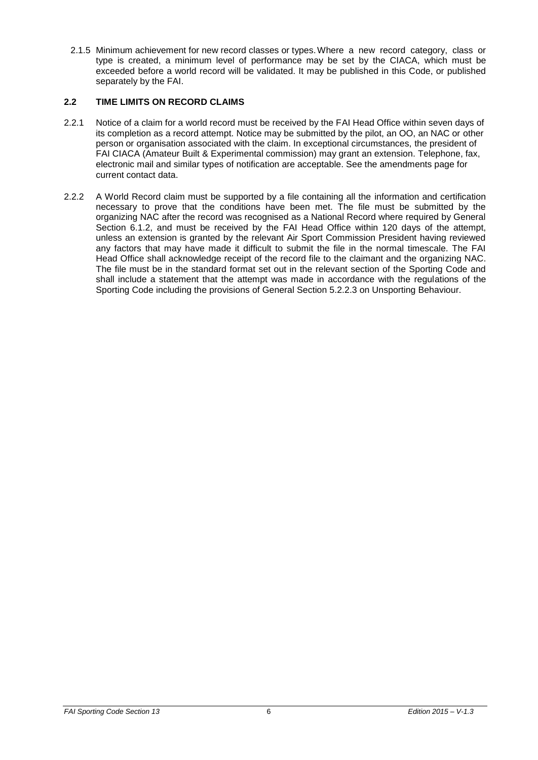2.1.5 Minimum achievement for new record classes or types.Where a new record category, class or type is created, a minimum level of performance may be set by the CIACA, which must be exceeded before a world record will be validated. It may be published in this Code, or published separately by the FAI.

# **2.2 TIME LIMITS ON RECORD CLAIMS**

- 2.2.1 Notice of a claim for a world record must be received by the FAI Head Office within seven days of its completion as a record attempt. Notice may be submitted by the pilot, an OO, an NAC or other person or organisation associated with the claim. In exceptional circumstances, the president of FAI CIACA (Amateur Built & Experimental commission) may grant an extension. Telephone, fax, electronic mail and similar types of notification are acceptable. See the amendments page for current contact data.
- 2.2.2 A World Record claim must be supported by a file containing all the information and certification necessary to prove that the conditions have been met. The file must be submitted by the organizing NAC after the record was recognised as a National Record where required by General Section 6.1.2, and must be received by the FAI Head Office within 120 days of the attempt, unless an extension is granted by the relevant Air Sport Commission President having reviewed any factors that may have made it difficult to submit the file in the normal timescale. The FAI Head Office shall acknowledge receipt of the record file to the claimant and the organizing NAC. The file must be in the standard format set out in the relevant section of the Sporting Code and shall include a statement that the attempt was made in accordance with the regulations of the Sporting Code including the provisions of General Section 5.2.2.3 on Unsporting Behaviour.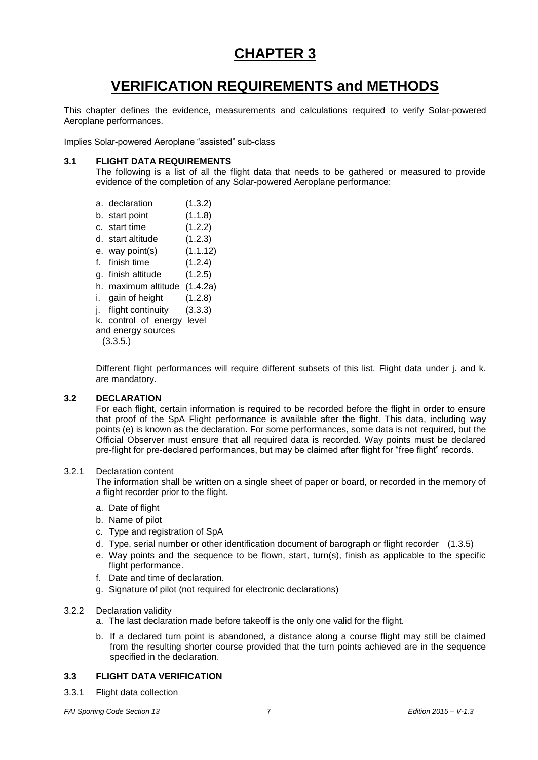# **VERIFICATION REQUIREMENTS and METHODS**

This chapter defines the evidence, measurements and calculations required to verify Solar-powered Aeroplane performances.

Implies Solar-powered Aeroplane "assisted" sub-class

### **3.1 FLIGHT DATA REQUIREMENTS**

The following is a list of all the flight data that needs to be gathered or measured to provide evidence of the completion of any Solar-powered Aeroplane performance:

- a. declaration (1.3.2)
- b. start point  $(1.1.8)$
- c. start time (1.2.2)
- d. start altitude (1.2.3)
- e. way point(s) (1.1.12)
- f. finish time (1.2.4)
- g. finish altitude (1.2.5)
- h. maximum altitude (1.4.2a)
- i. gain of height (1.2.8)
- j. flight continuity (3.3.3)
- k. control of energy level
- and energy sources
- (3.3.5.)

Different flight performances will require different subsets of this list. Flight data under j. and k. are mandatory.

# **3.2 DECLARATION**

For each flight, certain information is required to be recorded before the flight in order to ensure that proof of the SpA Flight performance is available after the flight. This data, including way points (e) is known as the declaration. For some performances, some data is not required, but the Official Observer must ensure that all required data is recorded. Way points must be declared pre-flight for pre-declared performances, but may be claimed after flight for "free flight" records.

#### 3.2.1 Declaration content

The information shall be written on a single sheet of paper or board, or recorded in the memory of a flight recorder prior to the flight.

- a. Date of flight
- b. Name of pilot
- c. Type and registration of SpA
- d. Type, serial number or other identification document of barograph or flight recorder (1.3.5)
- e. Way points and the sequence to be flown, start, turn(s), finish as applicable to the specific flight performance.
- f. Date and time of declaration.
- g. Signature of pilot (not required for electronic declarations)
- 3.2.2 Declaration validity
	- a. The last declaration made before takeoff is the only one valid for the flight.
	- b. If a declared turn point is abandoned, a distance along a course flight may still be claimed from the resulting shorter course provided that the turn points achieved are in the sequence specified in the declaration.

# **3.3 FLIGHT DATA VERIFICATION**

3.3.1 Flight data collection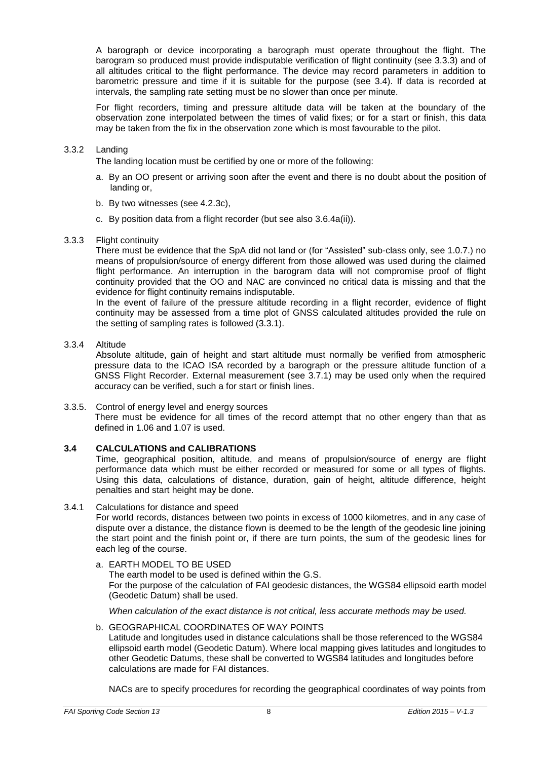A barograph or device incorporating a barograph must operate throughout the flight. The barogram so produced must provide indisputable verification of flight continuity (see 3.3.3) and of all altitudes critical to the flight performance. The device may record parameters in addition to barometric pressure and time if it is suitable for the purpose (see 3.4). If data is recorded at intervals, the sampling rate setting must be no slower than once per minute.

For flight recorders, timing and pressure altitude data will be taken at the boundary of the observation zone interpolated between the times of valid fixes; or for a start or finish, this data may be taken from the fix in the observation zone which is most favourable to the pilot.

# 3.3.2 Landing

The landing location must be certified by one or more of the following:

- a. By an OO present or arriving soon after the event and there is no doubt about the position of landing or,
- b. By two witnesses (see 4.2.3c),
- c. By position data from a flight recorder (but see also 3.6.4a(ii)).

# 3.3.3 Flight continuity

There must be evidence that the SpA did not land or (for "Assisted" sub-class only, see 1.0.7.) no means of propulsion/source of energy different from those allowed was used during the claimed flight performance. An interruption in the barogram data will not compromise proof of flight continuity provided that the OO and NAC are convinced no critical data is missing and that the evidence for flight continuity remains indisputable.

In the event of failure of the pressure altitude recording in a flight recorder, evidence of flight continuity may be assessed from a time plot of GNSS calculated altitudes provided the rule on the setting of sampling rates is followed (3.3.1).

3.3.4 Altitude

Absolute altitude, gain of height and start altitude must normally be verified from atmospheric pressure data to the ICAO ISA recorded by a barograph or the pressure altitude function of a GNSS Flight Recorder. External measurement (see 3.7.1) may be used only when the required accuracy can be verified, such a for start or finish lines.

# 3.3.5. Control of energy level and energy sources

There must be evidence for all times of the record attempt that no other engery than that as defined in 1.06 and 1.07 is used.

# **3.4 CALCULATIONS and CALIBRATIONS**

Time, geographical position, altitude, and means of propulsion/source of energy are flight performance data which must be either recorded or measured for some or all types of flights. Using this data, calculations of distance, duration, gain of height, altitude difference, height penalties and start height may be done.

# 3.4.1 Calculations for distance and speed

For world records, distances between two points in excess of 1000 kilometres, and in any case of dispute over a distance, the distance flown is deemed to be the length of the geodesic line joining the start point and the finish point or, if there are turn points, the sum of the geodesic lines for each leg of the course.

a. EARTH MODEL TO BE USED The earth model to be used is defined within the G.S. For the purpose of the calculation of FAI geodesic distances, the WGS84 ellipsoid earth model (Geodetic Datum) shall be used.

*When calculation of the exact distance is not critical, less accurate methods may be used.* 

# b. GEOGRAPHICAL COORDINATES OF WAY POINTS

Latitude and longitudes used in distance calculations shall be those referenced to the WGS84 ellipsoid earth model (Geodetic Datum). Where local mapping gives latitudes and longitudes to other Geodetic Datums, these shall be converted to WGS84 latitudes and longitudes before calculations are made for FAI distances.

NACs are to specify procedures for recording the geographical coordinates of way points from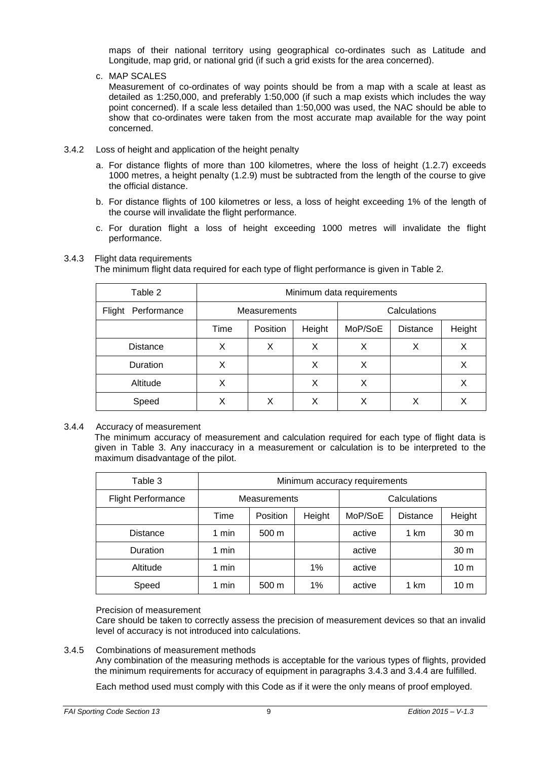maps of their national territory using geographical co-ordinates such as Latitude and Longitude, map grid, or national grid (if such a grid exists for the area concerned).

c. MAP SCALES

Measurement of co-ordinates of way points should be from a map with a scale at least as detailed as 1:250,000, and preferably 1:50,000 (if such a map exists which includes the way point concerned). If a scale less detailed than 1:50,000 was used, the NAC should be able to show that co-ordinates were taken from the most accurate map available for the way point concerned.

- 3.4.2 Loss of height and application of the height penalty
	- a. For distance flights of more than 100 kilometres, where the loss of height (1.2.7) exceeds 1000 metres, a height penalty (1.2.9) must be subtracted from the length of the course to give the official distance.
	- b. For distance flights of 100 kilometres or less, a loss of height exceeding 1% of the length of the course will invalidate the flight performance.
	- c. For duration flight a loss of height exceeding 1000 metres will invalidate the flight performance.

#### 3.4.3 Flight data requirements

The minimum flight data required for each type of flight performance is given in Table 2.

| Table 2               | Minimum data requirements |          |        |              |                 |        |
|-----------------------|---------------------------|----------|--------|--------------|-----------------|--------|
| Performance<br>Flight | <b>Measurements</b>       |          |        | Calculations |                 |        |
|                       | Time                      | Position | Height | MoP/SoE      | <b>Distance</b> | Height |
| <b>Distance</b>       | X                         | X        | X      | X            | X               | X      |
| Duration              | X                         |          | X      | X            |                 | Х      |
| Altitude              | X                         |          | X      | х            |                 | Х      |
| Speed                 | X                         | х        | X      | X            | х               | х      |

# 3.4.4 Accuracy of measurement

The minimum accuracy of measurement and calculation required for each type of flight data is given in Table 3. Any inaccuracy in a measurement or calculation is to be interpreted to the maximum disadvantage of the pilot.

| Table 3                   | Minimum accuracy requirements |                 |        |         |                 |                 |
|---------------------------|-------------------------------|-----------------|--------|---------|-----------------|-----------------|
| <b>Flight Performance</b> | <b>Measurements</b>           |                 |        |         | Calculations    |                 |
|                           | Time                          | <b>Position</b> | Height | MoP/SoE | <b>Distance</b> | Height          |
| <b>Distance</b>           | 1 min                         | $500 \text{ m}$ |        | active  | 1 km            | 30 m            |
| <b>Duration</b>           | 1 min                         |                 |        | active  |                 | 30 m            |
| Altitude                  | 1 min                         |                 | 1%     | active  |                 | 10 <sub>m</sub> |
| Speed                     | 1 min                         | $500 \text{ m}$ | 1%     | active  | 1 km            | 10 <sub>m</sub> |

#### Precision of measurement

Care should be taken to correctly assess the precision of measurement devices so that an invalid level of accuracy is not introduced into calculations.

3.4.5 Combinations of measurement methods

Any combination of the measuring methods is acceptable for the various types of flights, provided the minimum requirements for accuracy of equipment in paragraphs 3.4.3 and 3.4.4 are fulfilled.

Each method used must comply with this Code as if it were the only means of proof employed.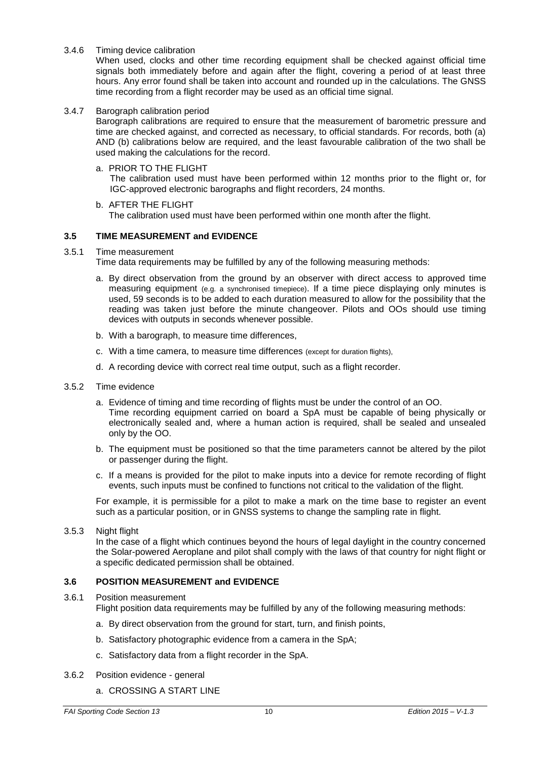3.4.6 Timing device calibration

When used, clocks and other time recording equipment shall be checked against official time signals both immediately before and again after the flight, covering a period of at least three hours. Any error found shall be taken into account and rounded up in the calculations. The GNSS time recording from a flight recorder may be used as an official time signal.

3.4.7 Barograph calibration period

Barograph calibrations are required to ensure that the measurement of barometric pressure and time are checked against, and corrected as necessary, to official standards. For records, both (a) AND (b) calibrations below are required, and the least favourable calibration of the two shall be used making the calculations for the record.

- a. PRIOR TO THE FLIGHT The calibration used must have been performed within 12 months prior to the flight or, for IGC-approved electronic barographs and flight recorders, 24 months.
- b. AFTER THE FLIGHT The calibration used must have been performed within one month after the flight.

#### **3.5 TIME MEASUREMENT and EVIDENCE**

3.5.1 Time measurement

Time data requirements may be fulfilled by any of the following measuring methods:

- a. By direct observation from the ground by an observer with direct access to approved time measuring equipment (e.g. a synchronised timepiece). If a time piece displaying only minutes is used, 59 seconds is to be added to each duration measured to allow for the possibility that the reading was taken just before the minute changeover. Pilots and OOs should use timing devices with outputs in seconds whenever possible.
- b. With a barograph, to measure time differences,
- c. With a time camera, to measure time differences (except for duration flights),
- d. A recording device with correct real time output, such as a flight recorder.
- 3.5.2 Time evidence
	- a. Evidence of timing and time recording of flights must be under the control of an OO. Time recording equipment carried on board a SpA must be capable of being physically or electronically sealed and, where a human action is required, shall be sealed and unsealed only by the OO.
	- b. The equipment must be positioned so that the time parameters cannot be altered by the pilot or passenger during the flight.
	- c. If a means is provided for the pilot to make inputs into a device for remote recording of flight events, such inputs must be confined to functions not critical to the validation of the flight.

For example, it is permissible for a pilot to make a mark on the time base to register an event such as a particular position, or in GNSS systems to change the sampling rate in flight.

3.5.3 Night flight

In the case of a flight which continues beyond the hours of legal daylight in the country concerned the Solar-powered Aeroplane and pilot shall comply with the laws of that country for night flight or a specific dedicated permission shall be obtained.

# **3.6 POSITION MEASUREMENT and EVIDENCE**

3.6.1 Position measurement

Flight position data requirements may be fulfilled by any of the following measuring methods:

- a. By direct observation from the ground for start, turn, and finish points,
- b. Satisfactory photographic evidence from a camera in the SpA;
- c. Satisfactory data from a flight recorder in the SpA.
- 3.6.2 Position evidence general
	- a. CROSSING A START LINE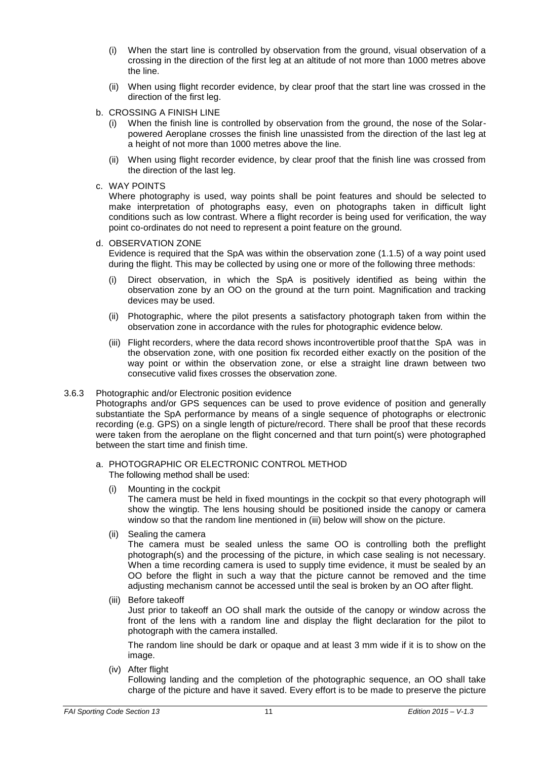- (i) When the start line is controlled by observation from the ground, visual observation of a crossing in the direction of the first leg at an altitude of not more than 1000 metres above the line.
- (ii) When using flight recorder evidence, by clear proof that the start line was crossed in the direction of the first leg.
- b. CROSSING A FINISH LINE
	- (i) When the finish line is controlled by observation from the ground, the nose of the Solarpowered Aeroplane crosses the finish line unassisted from the direction of the last leg at a height of not more than 1000 metres above the line.
	- (ii) When using flight recorder evidence, by clear proof that the finish line was crossed from the direction of the last leg.
- c. WAY POINTS

Where photography is used, way points shall be point features and should be selected to make interpretation of photographs easy, even on photographs taken in difficult light conditions such as low contrast. Where a flight recorder is being used for verification, the way point co-ordinates do not need to represent a point feature on the ground.

# d. OBSERVATION ZONE

Evidence is required that the SpA was within the observation zone (1.1.5) of a way point used during the flight. This may be collected by using one or more of the following three methods:

- (i) Direct observation, in which the SpA is positively identified as being within the observation zone by an OO on the ground at the turn point. Magnification and tracking devices may be used.
- (ii) Photographic, where the pilot presents a satisfactory photograph taken from within the observation zone in accordance with the rules for photographic evidence below.
- (iii) Flight recorders, where the data record shows incontrovertible proof that the SpA was in the observation zone, with one position fix recorded either exactly on the position of the way point or within the observation zone, or else a straight line drawn between two consecutive valid fixes crosses the observation zone.

# 3.6.3 Photographic and/or Electronic position evidence

Photographs and/or GPS sequences can be used to prove evidence of position and generally substantiate the SpA performance by means of a single sequence of photographs or electronic recording (e.g. GPS) on a single length of picture/record. There shall be proof that these records were taken from the aeroplane on the flight concerned and that turn point(s) were photographed between the start time and finish time.

#### a. PHOTOGRAPHIC OR ELECTRONIC CONTROL METHOD The following method shall be used:

- (i) Mounting in the cockpit The camera must be held in fixed mountings in the cockpit so that every photograph will show the wingtip. The lens housing should be positioned inside the canopy or camera window so that the random line mentioned in (iii) below will show on the picture.
- (ii) Sealing the camera The camera must be sealed unless the same OO is controlling both the preflight photograph(s) and the processing of the picture, in which case sealing is not necessary. When a time recording camera is used to supply time evidence, it must be sealed by an OO before the flight in such a way that the picture cannot be removed and the time adjusting mechanism cannot be accessed until the seal is broken by an OO after flight.
- (iii) Before takeoff

Just prior to takeoff an OO shall mark the outside of the canopy or window across the front of the lens with a random line and display the flight declaration for the pilot to photograph with the camera installed.

The random line should be dark or opaque and at least 3 mm wide if it is to show on the image.

(iv) After flight

Following landing and the completion of the photographic sequence, an OO shall take charge of the picture and have it saved. Every effort is to be made to preserve the picture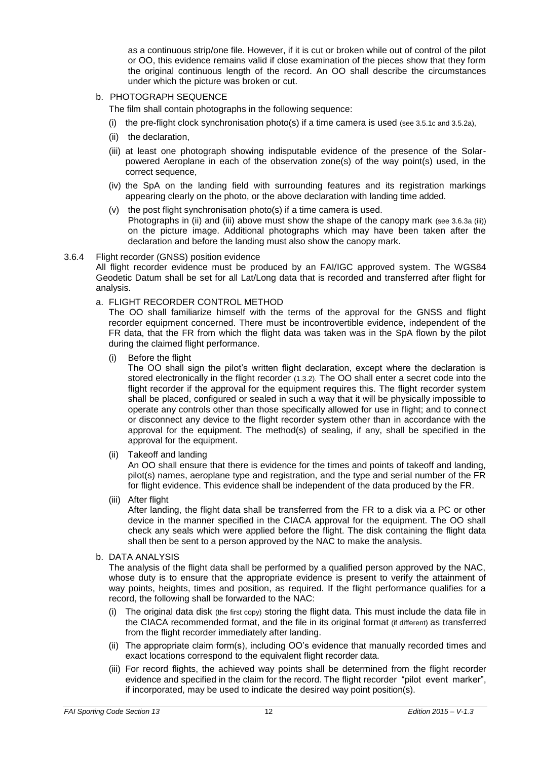as a continuous strip/one file. However, if it is cut or broken while out of control of the pilot or OO, this evidence remains valid if close examination of the pieces show that they form the original continuous length of the record. An OO shall describe the circumstances under which the picture was broken or cut.

# b. PHOTOGRAPH SEQUENCE

The film shall contain photographs in the following sequence:

- (i) the pre-flight clock synchronisation photo(s) if a time camera is used (see 3.5.1c and 3.5.2a),
- (ii) the declaration,
- (iii) at least one photograph showing indisputable evidence of the presence of the Solarpowered Aeroplane in each of the observation zone(s) of the way point(s) used, in the correct sequence,
- (iv) the SpA on the landing field with surrounding features and its registration markings appearing clearly on the photo, or the above declaration with landing time added.
- (v) the post flight synchronisation photo(s) if a time camera is used. Photographs in (ii) and (iii) above must show the shape of the canopy mark (see 3.6.3a (iii)) on the picture image. Additional photographs which may have been taken after the declaration and before the landing must also show the canopy mark.

#### 3.6.4 Flight recorder (GNSS) position evidence

All flight recorder evidence must be produced by an FAI/IGC approved system. The WGS84 Geodetic Datum shall be set for all Lat/Long data that is recorded and transferred after flight for analysis.

# a. FLIGHT RECORDER CONTROL METHOD

The OO shall familiarize himself with the terms of the approval for the GNSS and flight recorder equipment concerned. There must be incontrovertible evidence, independent of the FR data, that the FR from which the flight data was taken was in the SpA flown by the pilot during the claimed flight performance.

(i) Before the flight

The OO shall sign the pilot's written flight declaration, except where the declaration is stored electronically in the flight recorder (1.3.2). The OO shall enter a secret code into the flight recorder if the approval for the equipment requires this. The flight recorder system shall be placed, configured or sealed in such a way that it will be physically impossible to operate any controls other than those specifically allowed for use in flight; and to connect or disconnect any device to the flight recorder system other than in accordance with the approval for the equipment. The method(s) of sealing, if any, shall be specified in the approval for the equipment.

(ii) Takeoff and landing

An OO shall ensure that there is evidence for the times and points of takeoff and landing, pilot(s) names, aeroplane type and registration, and the type and serial number of the FR for flight evidence. This evidence shall be independent of the data produced by the FR.

(iii) After flight

After landing, the flight data shall be transferred from the FR to a disk via a PC or other device in the manner specified in the CIACA approval for the equipment. The OO shall check any seals which were applied before the flight. The disk containing the flight data shall then be sent to a person approved by the NAC to make the analysis.

b. DATA ANALYSIS

The analysis of the flight data shall be performed by a qualified person approved by the NAC, whose duty is to ensure that the appropriate evidence is present to verify the attainment of way points, heights, times and position, as required. If the flight performance qualifies for a record, the following shall be forwarded to the NAC:

- (i) The original data disk (the first copy) storing the flight data. This must include the data file in the CIACA recommended format, and the file in its original format (if different) as transferred from the flight recorder immediately after landing.
- (ii) The appropriate claim form(s), including OO's evidence that manually recorded times and exact locations correspond to the equivalent flight recorder data.
- (iii) For record flights, the achieved way points shall be determined from the flight recorder evidence and specified in the claim for the record. The flight recorder "pilot event marker", if incorporated, may be used to indicate the desired way point position(s).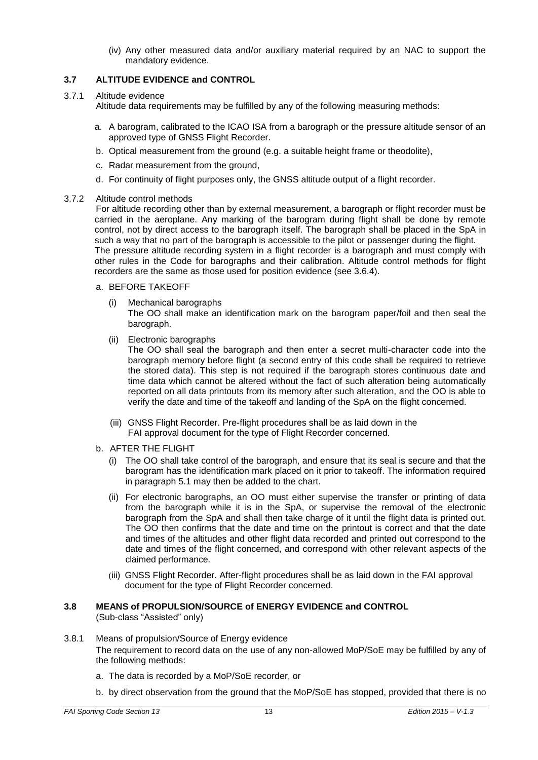(iv) Any other measured data and/or auxiliary material required by an NAC to support the mandatory evidence.

# **3.7 ALTITUDE EVIDENCE and CONTROL**

### 3.7.1 Altitude evidence

Altitude data requirements may be fulfilled by any of the following measuring methods:

- a. A barogram, calibrated to the ICAO ISA from a barograph or the pressure altitude sensor of an approved type of GNSS Flight Recorder.
- b. Optical measurement from the ground (e.g. a suitable height frame or theodolite),
- c. Radar measurement from the ground,
- d. For continuity of flight purposes only, the GNSS altitude output of a flight recorder.

#### 3.7.2 Altitude control methods

For altitude recording other than by external measurement, a barograph or flight recorder must be carried in the aeroplane. Any marking of the barogram during flight shall be done by remote control, not by direct access to the barograph itself. The barograph shall be placed in the SpA in such a way that no part of the barograph is accessible to the pilot or passenger during the flight. The pressure altitude recording system in a flight recorder is a barograph and must comply with other rules in the Code for barographs and their calibration. Altitude control methods for flight recorders are the same as those used for position evidence (see 3.6.4).

#### a. BEFORE TAKEOFF

- (i) Mechanical barographs The OO shall make an identification mark on the barogram paper/foil and then seal the barograph.
- (ii) Electronic barographs

The OO shall seal the barograph and then enter a secret multi-character code into the barograph memory before flight (a second entry of this code shall be required to retrieve the stored data). This step is not required if the barograph stores continuous date and time data which cannot be altered without the fact of such alteration being automatically reported on all data printouts from its memory after such alteration, and the OO is able to verify the date and time of the takeoff and landing of the SpA on the flight concerned.

- (iii) GNSS Flight Recorder. Pre-flight procedures shall be as laid down in the FAI approval document for the type of Flight Recorder concerned.
- b. AFTER THE FLIGHT
	- (i) The OO shall take control of the barograph, and ensure that its seal is secure and that the barogram has the identification mark placed on it prior to takeoff. The information required in paragraph 5.1 may then be added to the chart.
	- (ii) For electronic barographs, an OO must either supervise the transfer or printing of data from the barograph while it is in the SpA, or supervise the removal of the electronic barograph from the SpA and shall then take charge of it until the flight data is printed out. The OO then confirms that the date and time on the printout is correct and that the date and times of the altitudes and other flight data recorded and printed out correspond to the date and times of the flight concerned, and correspond with other relevant aspects of the claimed performance.
	- (iii) GNSS Flight Recorder. After-flight procedures shall be as laid down in the FAI approval document for the type of Flight Recorder concerned.

# **3.8 MEANS of PROPULSION/SOURCE of ENERGY EVIDENCE and CONTROL**

(Sub-class "Assisted" only)

- 3.8.1 Means of propulsion/Source of Energy evidence The requirement to record data on the use of any non-allowed MoP/SoE may be fulfilled by any of the following methods:
	- a. The data is recorded by a MoP/SoE recorder, or
	- b. by direct observation from the ground that the MoP/SoE has stopped, provided that there is no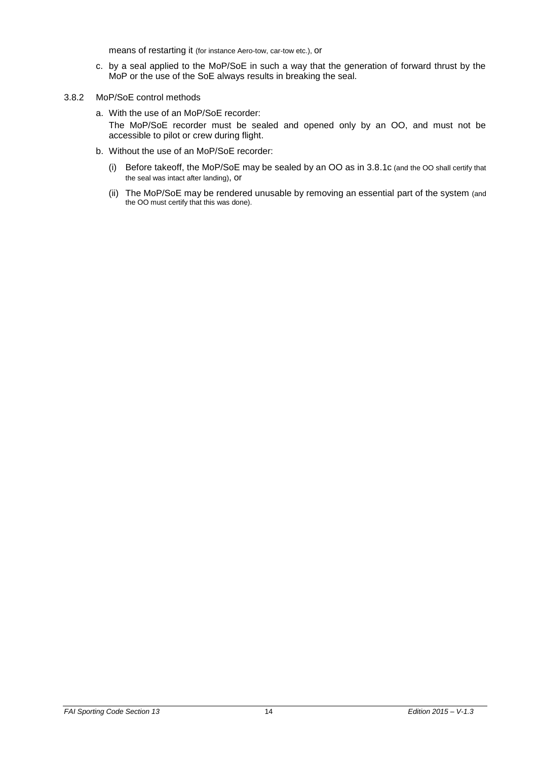means of restarting it (for instance Aero-tow, car-tow etc.), or

- c. by a seal applied to the MoP/SoE in such a way that the generation of forward thrust by the MoP or the use of the SoE always results in breaking the seal.
- 3.8.2 MoP/SoE control methods
	- a. With the use of an MoP/SoE recorder: The MoP/SoE recorder must be sealed and opened only by an OO, and must not be accessible to pilot or crew during flight.
	- b. Without the use of an MoP/SoE recorder:
		- (i) Before takeoff, the MoP/SoE may be sealed by an OO as in 3.8.1c (and the OO shall certify that the seal was intact after landing), or
		- (ii) The MoP/SoE may be rendered unusable by removing an essential part of the system (and the OO must certify that this was done).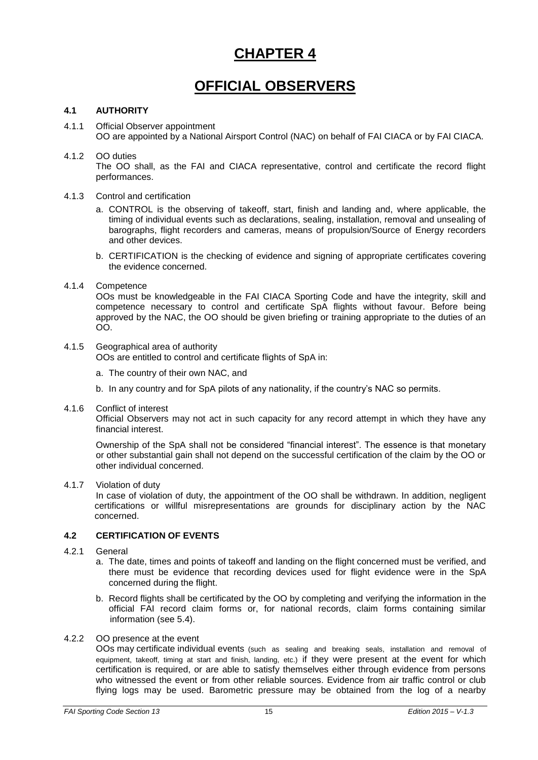# **OFFICIAL OBSERVERS**

# **4.1 AUTHORITY**

4.1.1 Official Observer appointment

OO are appointed by a National Airsport Control (NAC) on behalf of FAI CIACA or by FAI CIACA.

### 4.1.2 OO duties

The OO shall, as the FAI and CIACA representative, control and certificate the record flight performances.

- 4.1.3 Control and certification
	- a. CONTROL is the observing of takeoff, start, finish and landing and, where applicable, the timing of individual events such as declarations, sealing, installation, removal and unsealing of barographs, flight recorders and cameras, means of propulsion/Source of Energy recorders and other devices.
	- b. CERTIFICATION is the checking of evidence and signing of appropriate certificates covering the evidence concerned.

#### 4.1.4 Competence

OOs must be knowledgeable in the FAI CIACA Sporting Code and have the integrity, skill and competence necessary to control and certificate SpA flights without favour. Before being approved by the NAC, the OO should be given briefing or training appropriate to the duties of an OO.

#### 4.1.5 Geographical area of authority

OOs are entitled to control and certificate flights of SpA in:

a. The country of their own NAC, and

b. In any country and for SpA pilots of any nationality, if the country's NAC so permits.

4.1.6 Conflict of interest

Official Observers may not act in such capacity for any record attempt in which they have any financial interest.

Ownership of the SpA shall not be considered "financial interest". The essence is that monetary or other substantial gain shall not depend on the successful certification of the claim by the OO or other individual concerned.

4.1.7 Violation of duty

In case of violation of duty, the appointment of the OO shall be withdrawn. In addition, negligent certifications or willful misrepresentations are grounds for disciplinary action by the NAC concerned.

# **4.2 CERTIFICATION OF EVENTS**

- 4.2.1 General
	- a. The date, times and points of takeoff and landing on the flight concerned must be verified, and there must be evidence that recording devices used for flight evidence were in the SpA concerned during the flight.
	- b. Record flights shall be certificated by the OO by completing and verifying the information in the official FAI record claim forms or, for national records, claim forms containing similar information (see 5.4).

# 4.2.2 OO presence at the event

OOs may certificate individual events (such as sealing and breaking seals, installation and removal of equipment, takeoff, timing at start and finish, landing, etc.) if they were present at the event for which certification is required, or are able to satisfy themselves either through evidence from persons who witnessed the event or from other reliable sources. Evidence from air traffic control or club flying logs may be used. Barometric pressure may be obtained from the log of a nearby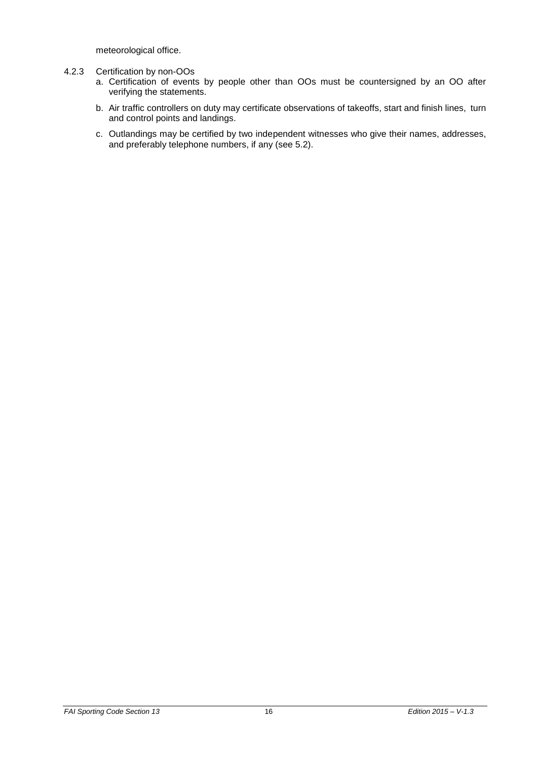meteorological office.

#### 4.2.3 Certification by non-OOs

- a. Certification of events by people other than OOs must be countersigned by an OO after verifying the statements.
- b. Air traffic controllers on duty may certificate observations of takeoffs, start and finish lines, turn and control points and landings.
- c. Outlandings may be certified by two independent witnesses who give their names, addresses, and preferably telephone numbers, if any (see 5.2).